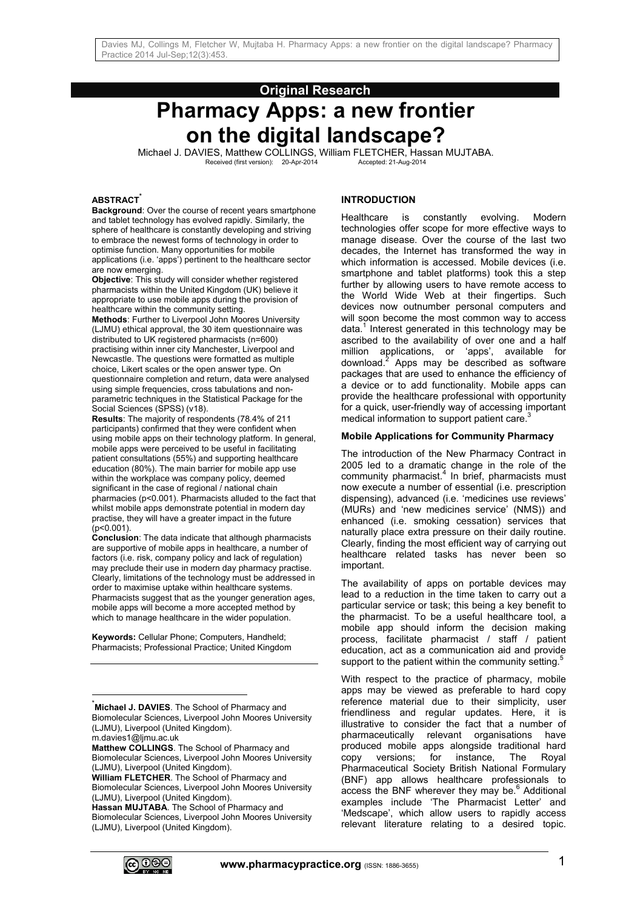# **Original Research**

# **Pharmacy Apps: a new frontier on the digital landscape?**

Michael J. DAVIES, Matthew COLLINGS, William FLETCHER, Hassan MUJTABA. Received (first version): 20-Apr-2014 Accepted: 21-Aug-2014

#### **ABSTRACT\***

**Background**: Over the course of recent years smartphone and tablet technology has evolved rapidly. Similarly, the sphere of healthcare is constantly developing and striving to embrace the newest forms of technology in order to optimise function. Many opportunities for mobile applications (i.e. 'apps') pertinent to the healthcare sector are now emerging.

**Objective:** This study will consider whether registered pharmacists within the United Kingdom (UK) believe it appropriate to use mobile apps during the provision of healthcare within the community setting.

**Methods**: Further to Liverpool John Moores University (LJMU) ethical approval, the 30 item questionnaire was distributed to UK registered pharmacists (n=600) practising within inner city Manchester, Liverpool and Newcastle. The questions were formatted as multiple choice, Likert scales or the open answer type. On questionnaire completion and return, data were analysed using simple frequencies, cross tabulations and nonparametric techniques in the Statistical Package for the Social Sciences (SPSS) (v18).

**Results**: The majority of respondents (78.4% of 211 participants) confirmed that they were confident when using mobile apps on their technology platform. In general, mobile apps were perceived to be useful in facilitating patient consultations (55%) and supporting healthcare education (80%). The main barrier for mobile app use within the workplace was company policy, deemed significant in the case of regional / national chain pharmacies (p<0.001). Pharmacists alluded to the fact that whilst mobile apps demonstrate potential in modern day practise, they will have a greater impact in the future  $(p<0.001)$ .

**Conclusion**: The data indicate that although pharmacists are supportive of mobile apps in healthcare, a number of factors (i.e. risk, company policy and lack of regulation) may preclude their use in modern day pharmacy practise. Clearly, limitations of the technology must be addressed in order to maximise uptake within healthcare systems. Pharmacists suggest that as the younger generation ages, mobile apps will become a more accepted method by which to manage healthcare in the wider population.

**Keywords:** Cellular Phone; Computers, Handheld; Pharmacists; Professional Practice; United Kingdom

**Matthew COLLINGS**. The School of Pharmacy and Biomolecular Sciences, Liverpool John Moores University (LJMU), Liverpool (United Kingdom).

**Hassan MUJTABA**. The School of Pharmacy and Biomolecular Sciences, Liverpool John Moores University (LJMU), Liverpool (United Kingdom).

#### **INTRODUCTION**

Healthcare is constantly evolving. Modern technologies offer scope for more effective ways to manage disease. Over the course of the last two decades, the Internet has transformed the way in which information is accessed. Mobile devices (i.e. smartphone and tablet platforms) took this a step further by allowing users to have remote access to the World Wide Web at their fingertips. Such devices now outnumber personal computers and will soon become the most common way to access data.<sup>1</sup> Interest generated in this technology may be ascribed to the availability of over one and a half million applications, or 'apps', available for download. $2$  Apps may be described as software packages that are used to enhance the efficiency of a device or to add functionality. Mobile apps can provide the healthcare professional with opportunity for a quick, user-friendly way of accessing important medical information to support patient care.<sup>3</sup>

#### **Mobile Applications for Community Pharmacy**

The introduction of the New Pharmacy Contract in 2005 led to a dramatic change in the role of the community pharmacist. $4$  In brief, pharmacists must now execute a number of essential (i.e. prescription dispensing), advanced (i.e. 'medicines use reviews' (MURs) and 'new medicines service' (NMS)) and enhanced (i.e. smoking cessation) services that naturally place extra pressure on their daily routine. Clearly, finding the most efficient way of carrying out healthcare related tasks has never been so important.

The availability of apps on portable devices may lead to a reduction in the time taken to carry out a particular service or task; this being a key benefit to the pharmacist. To be a useful healthcare tool, a mobile app should inform the decision making process, facilitate pharmacist / staff / patient education, act as a communication aid and provide support to the patient within the community setting. ľ

With respect to the practice of pharmacy, mobile apps may be viewed as preferable to hard copy reference material due to their simplicity, user friendliness and regular updates. Here, it is illustrative to consider the fact that a number of pharmaceutically relevant organisations have produced mobile apps alongside traditional hard copy versions; for instance, The Royal Pharmaceutical Society British National Formulary (BNF) app allows healthcare professionals to  $\frac{1}{\pi}$  access the BNF wherever they may be. $\frac{6}{\pi}$  Additional examples include 'The Pharmacist Letter' and 'Medscape', which allow users to rapidly access relevant literature relating to a desired topic.



1

**Michael J. DAVIES**. The School of Pharmacy and Biomolecular Sciences, Liverpool John Moores University (LJMU), Liverpool (United Kingdom). m.davies1@ljmu.ac.uk

**William FLETCHER**. The School of Pharmacy and Biomolecular Sciences, Liverpool John Moores University (LJMU), Liverpool (United Kingdom).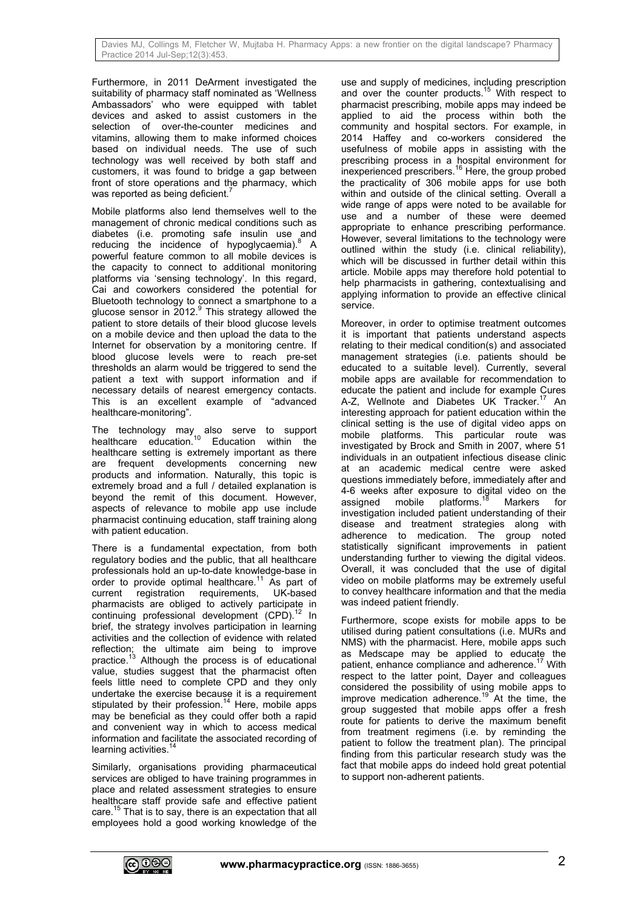Furthermore, in 2011 DeArment investigated the suitability of pharmacy staff nominated as 'Wellness Ambassadors' who were equipped with tablet devices and asked to assist customers in the selection of over-the-counter medicines and vitamins, allowing them to make informed choices based on individual needs. The use of such technology was well received by both staff and customers, it was found to bridge a gap between front of store operations and the pharmacy, which was reported as being deficient.<sup>7</sup>

Mobile platforms also lend themselves well to the management of chronic medical conditions such as diabetes (i.e. promoting safe insulin use and reducing the incidence of hypoglycaemia). $8$  A powerful feature common to all mobile devices is the capacity to connect to additional monitoring platforms via 'sensing technology'. In this regard, Cai and coworkers considered the potential for Bluetooth technology to connect a smartphone to a glucose sensor in  $2012.<sup>9</sup>$  This strategy allowed the patient to store details of their blood glucose levels on a mobile device and then upload the data to the Internet for observation by a monitoring centre. If blood glucose levels were to reach pre-set thresholds an alarm would be triggered to send the patient a text with support information and if necessary details of nearest emergency contacts. This is an excellent example of "advanced healthcare-monitoring".

The technology may also serve to support healthcare education.<sup>10</sup> Education within the healthcare setting is extremely important as there are frequent developments concerning new products and information. Naturally, this topic is extremely broad and a full / detailed explanation is beyond the remit of this document. However, aspects of relevance to mobile app use include pharmacist continuing education, staff training along with patient education.

There is a fundamental expectation, from both regulatory bodies and the public, that all healthcare professionals hold an up-to-date knowledge-base in order to provide optimal healthcare.<sup>11</sup> As part of current registration requirements, UK-based pharmacists are obliged to actively participate in continuing professional development (CPD).<sup>12</sup> In brief, the strategy involves participation in learning activities and the collection of evidence with related reflection; the ultimate aim being to improve practice.<sup>13</sup> Although the process is of educational value, studies suggest that the pharmacist often feels little need to complete CPD and they only undertake the exercise because it is a requirement stipulated by their profession.<sup>14</sup> Here, mobile apps may be beneficial as they could offer both a rapid and convenient way in which to access medical information and facilitate the associated recording of learning activities.<sup>14</sup>

Similarly, organisations providing pharmaceutical services are obliged to have training programmes in place and related assessment strategies to ensure healthcare staff provide safe and effective patient care.<sup>15</sup> That is to say, there is an expectation that all employees hold a good working knowledge of the use and supply of medicines, including prescription and over the counter products.15 With respect to pharmacist prescribing, mobile apps may indeed be applied to aid the process within both the community and hospital sectors. For example, in 2014 Haffey and co-workers considered the usefulness of mobile apps in assisting with the prescribing process in a hospital environment for inexperienced prescribers.<sup>16</sup> Here, the group probed the practicality of 306 mobile apps for use both within and outside of the clinical setting. Overall a wide range of apps were noted to be available for use and a number of these were deemed appropriate to enhance prescribing performance. However, several limitations to the technology were outlined within the study (i.e. clinical reliability), which will be discussed in further detail within this article. Mobile apps may therefore hold potential to help pharmacists in gathering, contextualising and applying information to provide an effective clinical service.

Moreover, in order to optimise treatment outcomes it is important that patients understand aspects relating to their medical condition(s) and associated management strategies (i.e. patients should be educated to a suitable level). Currently, several mobile apps are available for recommendation to educate the patient and include for example Cures A-Z, Wellnote and Diabetes UK Tracker.<sup>17</sup> An interesting approach for patient education within the clinical setting is the use of digital video apps on mobile platforms. This particular route was investigated by Brock and Smith in 2007, where 51 individuals in an outpatient infectious disease clinic at an academic medical centre were asked questions immediately before, immediately after and 4-6 weeks after exposure to digital video on the assigned mobile platforms.<sup>18</sup> Markers for investigation included patient understanding of their disease and treatment strategies along with adherence to medication. The group noted statistically significant improvements in patient understanding further to viewing the digital videos. Overall, it was concluded that the use of digital video on mobile platforms may be extremely useful to convey healthcare information and that the media was indeed patient friendly.

Furthermore, scope exists for mobile apps to be utilised during patient consultations (i.e. MURs and NMS) with the pharmacist. Here, mobile apps such as Medscape may be applied to educate the patient, enhance compliance and adherence.<sup>17</sup> With respect to the latter point, Dayer and colleagues considered the possibility of using mobile apps to improve medication adherence.<sup>19</sup> At the time, the group suggested that mobile apps offer a fresh route for patients to derive the maximum benefit from treatment regimens (i.e. by reminding the patient to follow the treatment plan). The principal finding from this particular research study was the fact that mobile apps do indeed hold great potential to support non-adherent patients.

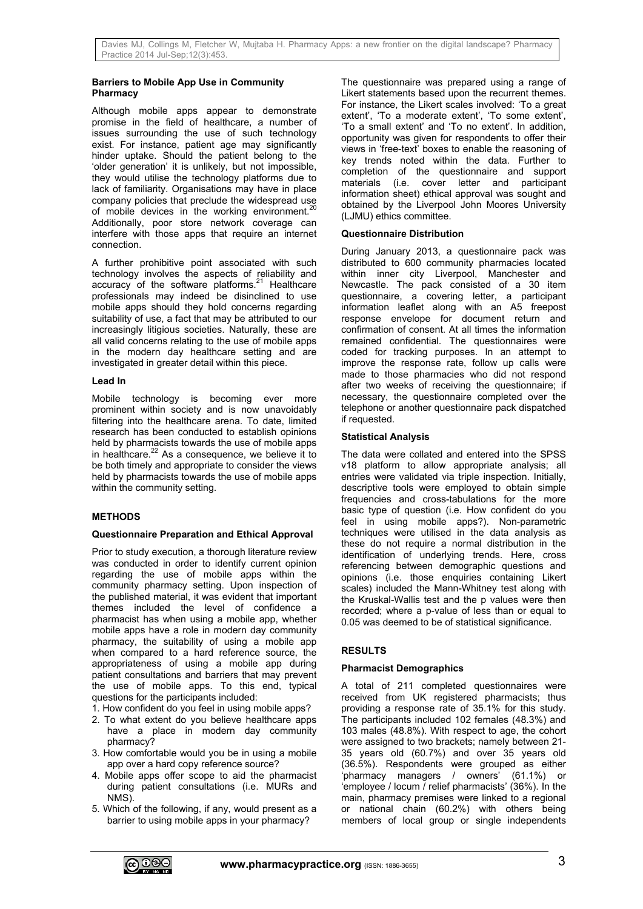## **Barriers to Mobile App Use in Community Pharmacy**

Although mobile apps appear to demonstrate promise in the field of healthcare, a number of issues surrounding the use of such technology exist. For instance, patient age may significantly hinder uptake. Should the patient belong to the 'older generation' it is unlikely, but not impossible, they would utilise the technology platforms due to lack of familiarity. Organisations may have in place lack of familiarity. Cryamodicies that preclude the widespread use of mobile devices in the working environment.<sup>2</sup> Additionally, poor store network coverage can interfere with those apps that require an internet connection.

A further prohibitive point associated with such technology involves the aspects of reliability and accuracy of the software platforms. $21$  Healthcare professionals may indeed be disinclined to use mobile apps should they hold concerns regarding suitability of use, a fact that may be attributed to our increasingly litigious societies. Naturally, these are all valid concerns relating to the use of mobile apps in the modern day healthcare setting and are investigated in greater detail within this piece.

# **Lead In**

Mobile technology is becoming ever more prominent within society and is now unavoidably filtering into the healthcare arena. To date, limited research has been conducted to establish opinions held by pharmacists towards the use of mobile apps in healthcare. $2^2$  As a consequence, we believe it to be both timely and appropriate to consider the views held by pharmacists towards the use of mobile apps within the community setting.

# **METHODS**

# **Questionnaire Preparation and Ethical Approval**

Prior to study execution, a thorough literature review was conducted in order to identify current opinion regarding the use of mobile apps within the community pharmacy setting. Upon inspection of the published material, it was evident that important themes included the level of confidence a pharmacist has when using a mobile app, whether mobile apps have a role in modern day community pharmacy, the suitability of using a mobile app when compared to a hard reference source, the appropriateness of using a mobile app during patient consultations and barriers that may prevent the use of mobile apps. To this end, typical questions for the participants included:

- 1. How confident do you feel in using mobile apps?
- 2. To what extent do you believe healthcare apps have a place in modern day community pharmacy?
- 3. How comfortable would you be in using a mobile app over a hard copy reference source?
- 4. Mobile apps offer scope to aid the pharmacist during patient consultations (i.e. MURs and NMS).
- 5. Which of the following, if any, would present as a barrier to using mobile apps in your pharmacy?

The questionnaire was prepared using a range of Likert statements based upon the recurrent themes. For instance, the Likert scales involved: 'To a great extent', 'To a moderate extent', 'To some extent', 'To a small extent' and 'To no extent'. In addition, opportunity was given for respondents to offer their views in 'free-text' boxes to enable the reasoning of key trends noted within the data. Further to completion of the questionnaire and support materials (i.e. cover letter and participant information sheet) ethical approval was sought and obtained by the Liverpool John Moores University (LJMU) ethics committee.

# **Questionnaire Distribution**

During January 2013, a questionnaire pack was distributed to 600 community pharmacies located within inner city Liverpool, Manchester and Newcastle. The pack consisted of a 30 item questionnaire, a covering letter, a participant information leaflet along with an A5 freepost response envelope for document return and confirmation of consent. At all times the information remained confidential. The questionnaires were coded for tracking purposes. In an attempt to improve the response rate, follow up calls were made to those pharmacies who did not respond after two weeks of receiving the questionnaire; if necessary, the questionnaire completed over the telephone or another questionnaire pack dispatched if requested.

# **Statistical Analysis**

The data were collated and entered into the SPSS v18 platform to allow appropriate analysis; all entries were validated via triple inspection. Initially, descriptive tools were employed to obtain simple frequencies and cross-tabulations for the more basic type of question (i.e. How confident do you feel in using mobile apps?). Non-parametric techniques were utilised in the data analysis as these do not require a normal distribution in the identification of underlying trends. Here, cross referencing between demographic questions and opinions (i.e. those enquiries containing Likert scales) included the Mann-Whitney test along with the Kruskal-Wallis test and the p values were then recorded; where a p-value of less than or equal to 0.05 was deemed to be of statistical significance.

# **RESULTS**

# **Pharmacist Demographics**

A total of 211 completed questionnaires were received from UK registered pharmacists; thus providing a response rate of 35.1% for this study. The participants included 102 females (48.3%) and 103 males (48.8%). With respect to age, the cohort were assigned to two brackets; namely between 21- 35 years old (60.7%) and over 35 years old (36.5%). Respondents were grouped as either 'pharmacy managers / owners' (61.1%) or 'employee / locum / relief pharmacists' (36%). In the main, pharmacy premises were linked to a regional or national chain (60.2%) with others being members of local group or single independents

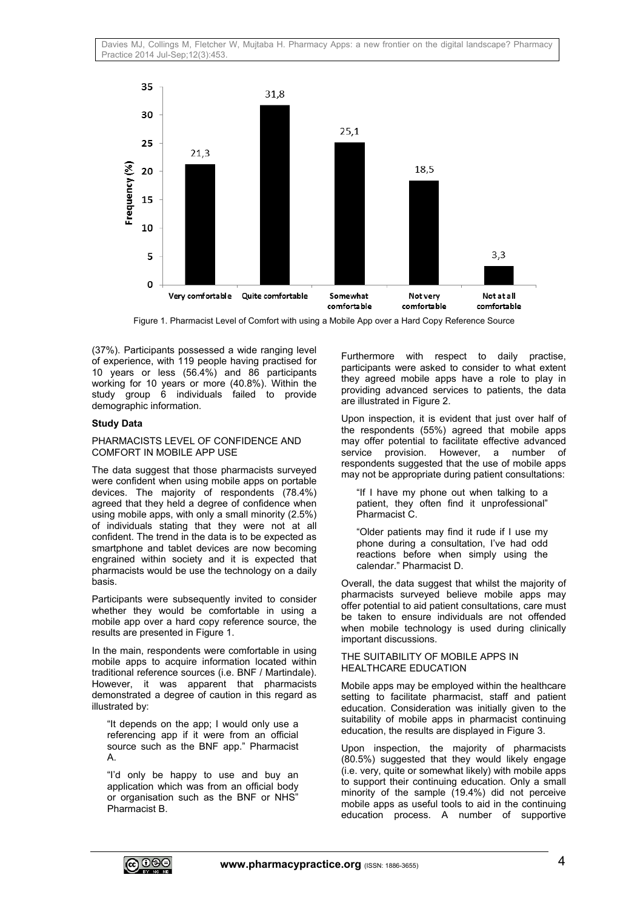

Figure 1. Pharmacist Level of Comfort with using a Mobile App over a Hard Copy Reference Source

(37%). Participants possessed a wide ranging level of experience, with 119 people having practised for 10 years or less (56.4%) and 86 participants working for 10 years or more (40.8%). Within the study group 6 individuals failed to provide demographic information.

#### **Study Data**

#### PHARMACISTS LEVEL OF CONFIDENCE AND COMFORT IN MOBILE APP USE

The data suggest that those pharmacists surveyed were confident when using mobile apps on portable devices. The majority of respondents (78.4%) agreed that they held a degree of confidence when using mobile apps, with only a small minority (2.5%) of individuals stating that they were not at all confident. The trend in the data is to be expected as smartphone and tablet devices are now becoming engrained within society and it is expected that pharmacists would be use the technology on a daily basis.

Participants were subsequently invited to consider whether they would be comfortable in using a mobile app over a hard copy reference source, the results are presented in Figure 1.

In the main, respondents were comfortable in using mobile apps to acquire information located within traditional reference sources (i.e. BNF / Martindale). However, it was apparent that pharmacists demonstrated a degree of caution in this regard as illustrated by:

"It depends on the app; I would only use a referencing app if it were from an official source such as the BNF app." Pharmacist A.

"I'd only be happy to use and buy an application which was from an official body or organisation such as the BNF or NHS" Pharmacist B.

Furthermore with respect to daily practise, participants were asked to consider to what extent they agreed mobile apps have a role to play in providing advanced services to patients, the data are illustrated in Figure 2.

Upon inspection, it is evident that just over half of the respondents (55%) agreed that mobile apps may offer potential to facilitate effective advanced service provision. However, a number of respondents suggested that the use of mobile apps may not be appropriate during patient consultations:

"If I have my phone out when talking to a patient, they often find it unprofessional" Pharmacist C.

"Older patients may find it rude if I use my phone during a consultation, I've had odd reactions before when simply using the calendar." Pharmacist D.

Overall, the data suggest that whilst the majority of pharmacists surveyed believe mobile apps may offer potential to aid patient consultations, care must be taken to ensure individuals are not offended when mobile technology is used during clinically important discussions.

## THE SUITABILITY OF MOBILE APPS IN HEALTHCARE EDUCATION

Mobile apps may be employed within the healthcare setting to facilitate pharmacist, staff and patient education. Consideration was initially given to the suitability of mobile apps in pharmacist continuing education, the results are displayed in Figure 3.

Upon inspection, the majority of pharmacists (80.5%) suggested that they would likely engage (i.e. very, quite or somewhat likely) with mobile apps to support their continuing education. Only a small minority of the sample (19.4%) did not perceive mobile apps as useful tools to aid in the continuing education process. A number of supportive

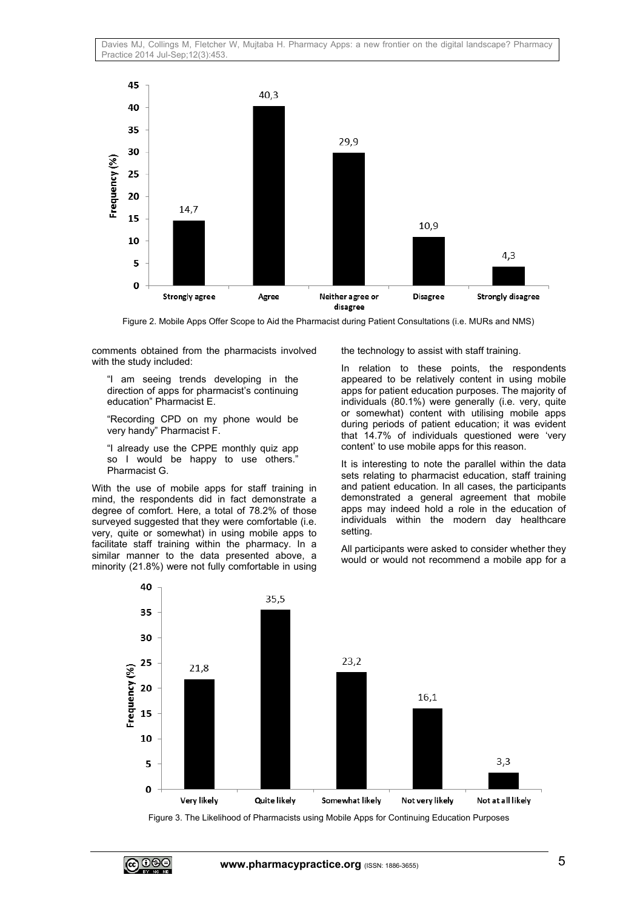

Figure 2. Mobile Apps Offer Scope to Aid the Pharmacist during Patient Consultations (i.e. MURs and NMS)

comments obtained from the pharmacists involved with the study included:

"I am seeing trends developing in the direction of apps for pharmacist's continuing education" Pharmacist E.

"Recording CPD on my phone would be very handy" Pharmacist F.

"I already use the CPPE monthly quiz app so I would be happy to use others.' Pharmacist G.

With the use of mobile apps for staff training in mind, the respondents did in fact demonstrate a degree of comfort. Here, a total of 78.2% of those surveyed suggested that they were comfortable (i.e. very, quite or somewhat) in using mobile apps to facilitate staff training within the pharmacy. In a similar manner to the data presented above, a minority (21.8%) were not fully comfortable in using the technology to assist with staff training.

In relation to these points, the respondents appeared to be relatively content in using mobile apps for patient education purposes. The majority of individuals (80.1%) were generally (i.e. very, quite or somewhat) content with utilising mobile apps during periods of patient education; it was evident that 14.7% of individuals questioned were 'very content' to use mobile apps for this reason.

It is interesting to note the parallel within the data sets relating to pharmacist education, staff training and patient education. In all cases, the participants demonstrated a general agreement that mobile apps may indeed hold a role in the education of individuals within the modern day healthcare setting.

All participants were asked to consider whether they would or would not recommend a mobile app for a



Figure 3. The Likelihood of Pharmacists using Mobile Apps for Continuing Education Purposes

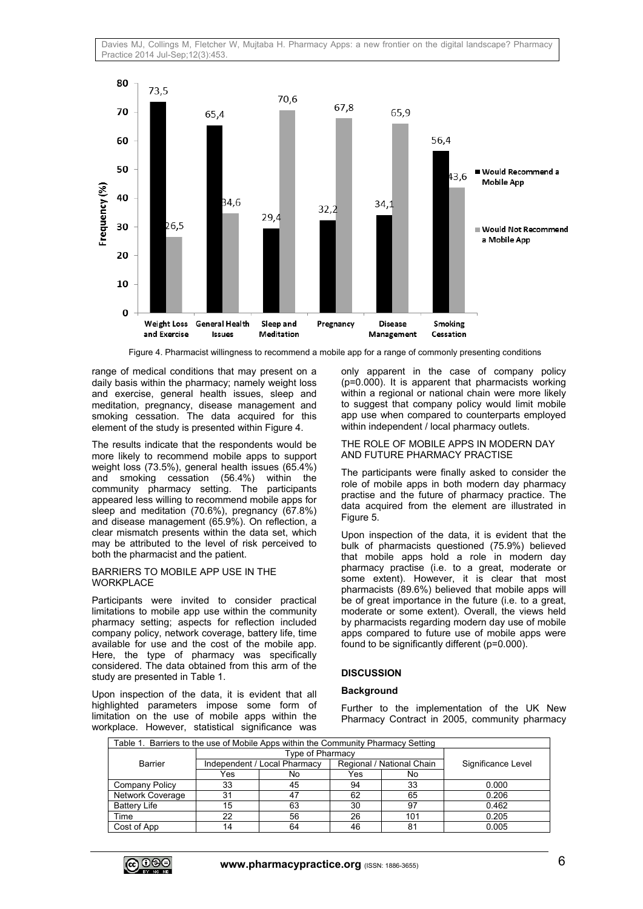

Figure 4. Pharmacist willingness to recommend a mobile app for a range of commonly presenting conditions

range of medical conditions that may present on a daily basis within the pharmacy; namely weight loss and exercise, general health issues, sleep and meditation, pregnancy, disease management and smoking cessation. The data acquired for this element of the study is presented within Figure 4.

The results indicate that the respondents would be more likely to recommend mobile apps to support weight loss (73.5%), general health issues (65.4%) and smoking cessation (56.4%) within the community pharmacy setting. The participants appeared less willing to recommend mobile apps for sleep and meditation (70.6%), pregnancy (67.8%) and disease management (65.9%). On reflection, a clear mismatch presents within the data set, which may be attributed to the level of risk perceived to both the pharmacist and the patient.

#### BARRIERS TO MOBILE APP USE IN THE **WORKPLACE**

Participants were invited to consider practical limitations to mobile app use within the community pharmacy setting; aspects for reflection included company policy, network coverage, battery life, time available for use and the cost of the mobile app. Here, the type of pharmacy was specifically considered. The data obtained from this arm of the study are presented in Table 1.

Upon inspection of the data, it is evident that all highlighted parameters impose some form of limitation on the use of mobile apps within the workplace. However, statistical significance was only apparent in the case of company policy (p=0.000). It is apparent that pharmacists working within a regional or national chain were more likely to suggest that company policy would limit mobile app use when compared to counterparts employed within independent / local pharmacy outlets.

#### THE ROLE OF MOBILE APPS IN MODERN DAY AND FUTURE PHARMACY PRACTISE

The participants were finally asked to consider the role of mobile apps in both modern day pharmacy practise and the future of pharmacy practice. The data acquired from the element are illustrated in Figure 5.

Upon inspection of the data, it is evident that the bulk of pharmacists questioned (75.9%) believed that mobile apps hold a role in modern day pharmacy practise (i.e. to a great, moderate or some extent). However, it is clear that most pharmacists (89.6%) believed that mobile apps will be of great importance in the future (i.e. to a great, moderate or some extent). Overall, the views held by pharmacists regarding modern day use of mobile apps compared to future use of mobile apps were found to be significantly different (p=0.000).

#### **DISCUSSION**

#### **Background**

Further to the implementation of the UK New Pharmacy Contract in 2005, community pharmacy

| Table 1. Barriers to the use of Mobile Apps within the Community Pharmacy Setting |                              |    |                           |     |                    |
|-----------------------------------------------------------------------------------|------------------------------|----|---------------------------|-----|--------------------|
| Barrier                                                                           | Type of Pharmacy             |    |                           |     |                    |
|                                                                                   | Independent / Local Pharmacy |    | Regional / National Chain |     | Significance Level |
|                                                                                   | Yes                          | No | Yes                       | No  |                    |
| Company Policy                                                                    | 33                           | 45 | 94                        | 33  | 0.000              |
| Network Coverage                                                                  | 31                           | 47 | 62                        | 65  | 0.206              |
| <b>Battery Life</b>                                                               | 15                           | 63 | 30                        | 97  | 0.462              |
| Time                                                                              | 22                           | 56 | 26                        | 101 | 0.205              |
| Cost of App                                                                       | 14                           | 64 | 46                        | 81  | 0.005              |

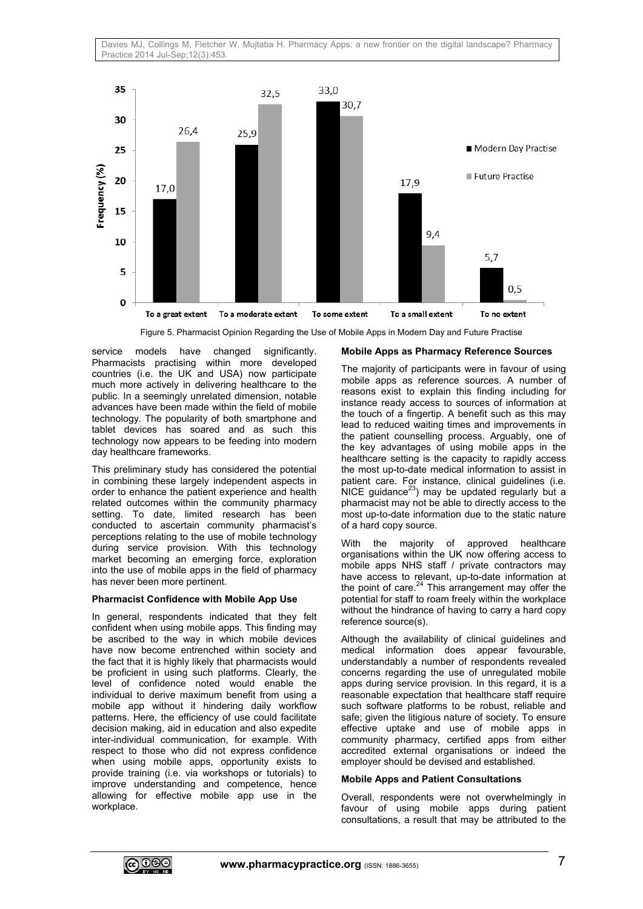

Figure 5. Pharmacist Opinion Regarding the Use of Mobile Apps in Modern Day and Future Practise

service models have changed significantly. Pharmacists practising within more developed countries (i.e. the UK and USA) now participate much more actively in delivering healthcare to the public. In a seemingly unrelated dimension, notable advances have been made within the field of mobile technology. The popularity of both smartphone and tablet devices has soared and as such this technology now appears to be feeding into modern day healthcare frameworks.

This preliminary study has considered the potential in combining these largely independent aspects in order to enhance the patient experience and health related outcomes within the community pharmacy setting. To date, limited research has been conducted to ascertain community pharmacist's perceptions relating to the use of mobile technology during service provision. With this technology market becoming an emerging force, exploration into the use of mobile apps in the field of pharmacy has never been more pertinent.

#### **Pharmacist Confidence with Mobile App Use**

In general, respondents indicated that they felt confident when using mobile apps. This finding may be ascribed to the way in which mobile devices have now become entrenched within society and the fact that it is highly likely that pharmacists would be proficient in using such platforms. Clearly, the level of confidence noted would enable the individual to derive maximum benefit from using a mobile app without it hindering daily workflow patterns. Here, the efficiency of use could facilitate decision making, aid in education and also expedite inter-individual communication, for example. With respect to those who did not express confidence when using mobile apps, opportunity exists to provide training (i.e. via workshops or tutorials) to improve understanding and competence, hence allowing for effective mobile app use in the workplace.

## **Mobile Apps as Pharmacy Reference Sources**

The majority of participants were in favour of using mobile apps as reference sources. A number of reasons exist to explain this finding including for instance ready access to sources of information at the touch of a fingertip. A benefit such as this may lead to reduced waiting times and improvements in the patient counselling process. Arguably, one of the key advantages of using mobile apps in the healthcare setting is the capacity to rapidly access the most up-to-date medical information to assist in patient care. For instance, clinical guidelines (i.e.  $NICE$  guidance $23$ ) may be updated regularly but a pharmacist may not be able to directly access to the most up-to-date information due to the static nature of a hard copy source.

With the majority of approved healthcare organisations within the UK now offering access to mobile apps NHS staff / private contractors may have access to relevant, up-to-date information at the point of care. $24$  This arrangement may offer the potential for staff to roam freely within the workplace without the hindrance of having to carry a hard copy reference source(s).

Although the availability of clinical guidelines and medical information does appear favourable, understandably a number of respondents revealed concerns regarding the use of unregulated mobile apps during service provision. In this regard, it is a reasonable expectation that healthcare staff require such software platforms to be robust, reliable and safe; given the litigious nature of society. To ensure effective uptake and use of mobile apps in community pharmacy, certified apps from either accredited external organisations or indeed the employer should be devised and established.

#### **Mobile Apps and Patient Consultations**

Overall, respondents were not overwhelmingly in favour of using mobile apps during patient consultations, a result that may be attributed to the

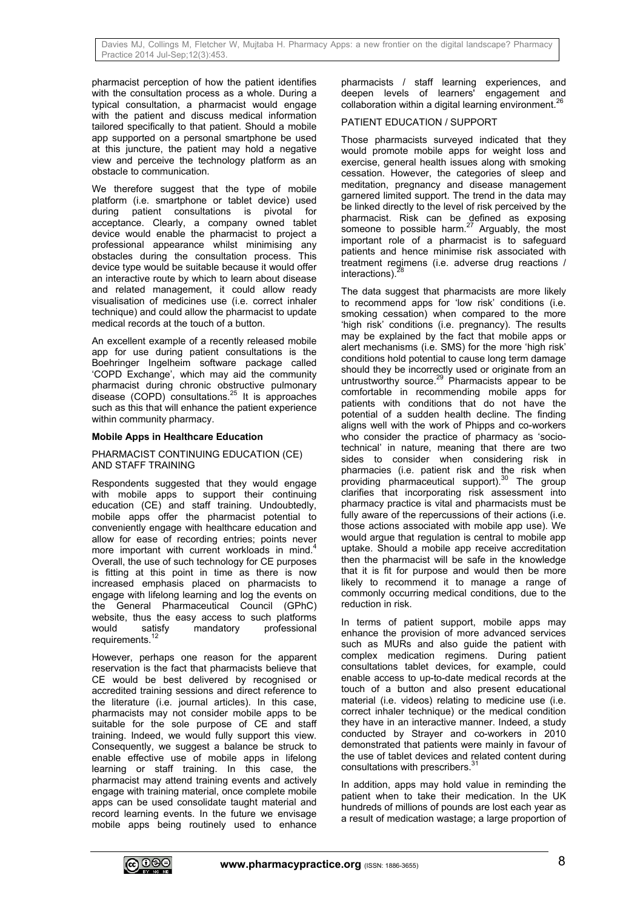pharmacist perception of how the patient identifies with the consultation process as a whole. During a typical consultation, a pharmacist would engage with the patient and discuss medical information tailored specifically to that patient. Should a mobile app supported on a personal smartphone be used at this juncture, the patient may hold a negative view and perceive the technology platform as an obstacle to communication.

We therefore suggest that the type of mobile platform (i.e. smartphone or tablet device) used during patient consultations is pivotal for acceptance. Clearly, a company owned tablet device would enable the pharmacist to project a professional appearance whilst minimising any obstacles during the consultation process. This device type would be suitable because it would offer an interactive route by which to learn about disease and related management, it could allow ready visualisation of medicines use (i.e. correct inhaler technique) and could allow the pharmacist to update medical records at the touch of a button.

An excellent example of a recently released mobile app for use during patient consultations is the Boehringer Ingelheim software package called 'COPD Exchange', which may aid the community pharmacist during chronic obstructive pulmonary disease  $(COPD)$  consultations.<sup>25</sup> It is approaches such as this that will enhance the patient experience within community pharmacy.

## **Mobile Apps in Healthcare Education**

#### PHARMACIST CONTINUING EDUCATION (CE) AND STAFF TRAINING

Respondents suggested that they would engage with mobile apps to support their continuing education (CE) and staff training. Undoubtedly, mobile apps offer the pharmacist potential to conveniently engage with healthcare education and allow for ease of recording entries; points never more important with current workloads in mind.<sup>4</sup> Overall, the use of such technology for CE purposes is fitting at this point in time as there is now increased emphasis placed on pharmacists to engage with lifelong learning and log the events on the General Pharmaceutical Council (GPhC) website, thus the easy access to such platforms would satisfy mandatory professional requirements.

However, perhaps one reason for the apparent reservation is the fact that pharmacists believe that CE would be best delivered by recognised or accredited training sessions and direct reference to the literature (i.e. journal articles). In this case, pharmacists may not consider mobile apps to be suitable for the sole purpose of CE and staff training. Indeed, we would fully support this view. Consequently, we suggest a balance be struck to enable effective use of mobile apps in lifelong learning or staff training. In this case, the pharmacist may attend training events and actively engage with training material, once complete mobile apps can be used consolidate taught material and record learning events. In the future we envisage mobile apps being routinely used to enhance pharmacists / staff learning experiences, and deepen levels of learners' engagement and collaboration within a digital learning environment. $^{26}$ 

#### PATIENT EDUCATION / SUPPORT

Those pharmacists surveyed indicated that they would promote mobile apps for weight loss and exercise, general health issues along with smoking cessation. However, the categories of sleep and meditation, pregnancy and disease management garnered limited support. The trend in the data may be linked directly to the level of risk perceived by the pharmacist. Risk can be defined as exposing someone to possible harm. $27$  Arguably, the most important role of a pharmacist is to safeguard patients and hence minimise risk associated with treatment regimens (i.e. adverse drug reactions / interactions).

The data suggest that pharmacists are more likely to recommend apps for 'low risk' conditions (i.e. smoking cessation) when compared to the more 'high risk' conditions (i.e. pregnancy). The results may be explained by the fact that mobile apps or alert mechanisms (i.e. SMS) for the more 'high risk' conditions hold potential to cause long term damage should they be incorrectly used or originate from an untrustworthy source. $29$  Pharmacists appear to be comfortable in recommending mobile apps for patients with conditions that do not have the potential of a sudden health decline. The finding aligns well with the work of Phipps and co-workers who consider the practice of pharmacy as 'sociotechnical' in nature, meaning that there are two sides to consider when considering risk in pharmacies (i.e. patient risk and the risk when providing pharmaceutical support).<sup>30</sup> The group clarifies that incorporating risk assessment into pharmacy practice is vital and pharmacists must be fully aware of the repercussions of their actions (i.e. those actions associated with mobile app use). We would argue that regulation is central to mobile app uptake. Should a mobile app receive accreditation then the pharmacist will be safe in the knowledge that it is fit for purpose and would then be more likely to recommend it to manage a range of commonly occurring medical conditions, due to the reduction in risk.

In terms of patient support, mobile apps may enhance the provision of more advanced services such as MURs and also guide the patient with complex medication regimens. During patient consultations tablet devices, for example, could enable access to up-to-date medical records at the touch of a button and also present educational material (i.e. videos) relating to medicine use (i.e. correct inhaler technique) or the medical condition they have in an interactive manner. Indeed, a study conducted by Strayer and co-workers in 2010 demonstrated that patients were mainly in favour of the use of tablet devices and related content during consultations with prescribers.<sup>31</sup>

In addition, apps may hold value in reminding the patient when to take their medication. In the UK hundreds of millions of pounds are lost each year as a result of medication wastage; a large proportion of

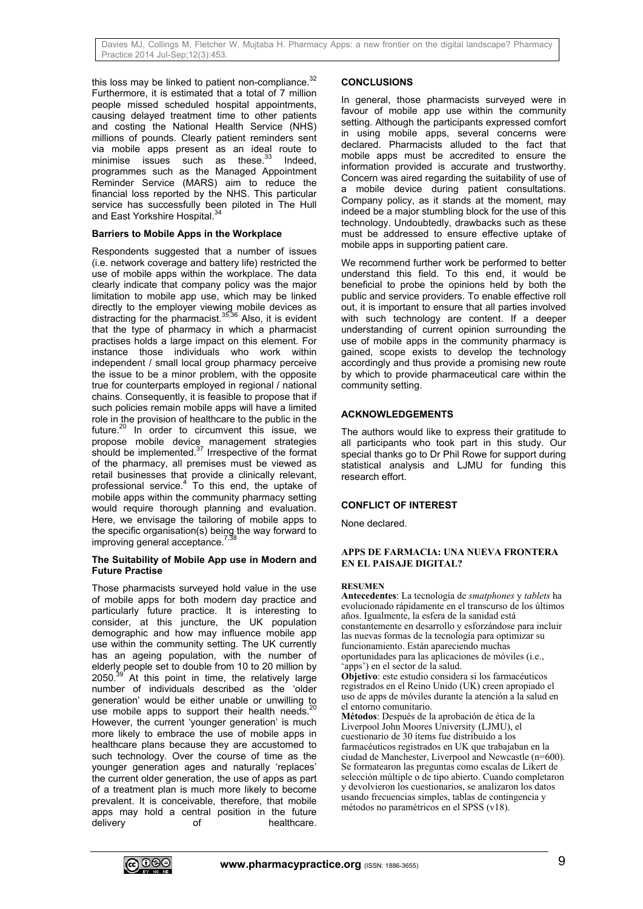this loss may be linked to patient non-compliance. $32$ Furthermore, it is estimated that a total of 7 million people missed scheduled hospital appointments, causing delayed treatment time to other patients and costing the National Health Service (NHS) millions of pounds. Clearly patient reminders sent via mobile apps present as an ideal route to minimise issues such as these. $33$  Indeed, programmes such as the Managed Appointment Reminder Service (MARS) aim to reduce the financial loss reported by the NHS. This particular service has successfully been piloted in The Hull and East Yorkshire Hospital.<sup>34</sup>

# **Barriers to Mobile Apps in the Workplace**

Respondents suggested that a number of issues (i.e. network coverage and battery life) restricted the use of mobile apps within the workplace. The data clearly indicate that company policy was the major limitation to mobile app use, which may be linked directly to the employer viewing mobile devices as distracting for the pharmacist.<sup>35,36</sup> Also, it is evident that the type of pharmacy in which a pharmacist practises holds a large impact on this element. For instance those individuals who work within independent / small local group pharmacy perceive the issue to be a minor problem, with the opposite true for counterparts employed in regional / national chains. Consequently, it is feasible to propose that if such policies remain mobile apps will have a limited role in the provision of healthcare to the public in the future.<sup>20</sup> In order to circumvent this issue, we propose mobile device management strategies should be implemented. $37$  Irrespective of the format of the pharmacy, all premises must be viewed as retail businesses that provide a clinically relevant, professional service.<sup>4</sup> To this end, the uptake of mobile apps within the community pharmacy setting would require thorough planning and evaluation. Here, we envisage the tailoring of mobile apps to the specific organisation(s) being the way forward to improving general acceptance.<sup>7</sup>

#### **The Suitability of Mobile App use in Modern and Future Practise**

Those pharmacists surveyed hold value in the use of mobile apps for both modern day practice and particularly future practice. It is interesting to consider, at this juncture, the UK population demographic and how may influence mobile app use within the community setting. The UK currently has an ageing population, with the number of elderly people set to double from 10 to 20 million by 2050.<sup>39</sup> At this point in time, the relatively large number of individuals described as the 'older generation' would be either unable or unwilling to use mobile apps to support their health needs.<sup>20</sup> However, the current 'younger generation' is much more likely to embrace the use of mobile apps in healthcare plans because they are accustomed to such technology. Over the course of time as the younger generation ages and naturally 'replaces' the current older generation, the use of apps as part of a treatment plan is much more likely to become prevalent. It is conceivable, therefore, that mobile apps may hold a central position in the future delivery of healthcare.

# **CONCLUSIONS**

In general, those pharmacists surveyed were in favour of mobile app use within the community setting. Although the participants expressed comfort in using mobile apps, several concerns were declared. Pharmacists alluded to the fact that mobile apps must be accredited to ensure the information provided is accurate and trustworthy. Concern was aired regarding the suitability of use of a mobile device during patient consultations. Company policy, as it stands at the moment, may indeed be a major stumbling block for the use of this technology. Undoubtedly, drawbacks such as these must be addressed to ensure effective uptake of mobile apps in supporting patient care.

We recommend further work be performed to better understand this field. To this end, it would be beneficial to probe the opinions held by both the public and service providers. To enable effective roll out, it is important to ensure that all parties involved with such technology are content. If a deeper understanding of current opinion surrounding the use of mobile apps in the community pharmacy is gained, scope exists to develop the technology accordingly and thus provide a promising new route by which to provide pharmaceutical care within the community setting.

# **ACKNOWLEDGEMENTS**

The authors would like to express their gratitude to all participants who took part in this study. Our special thanks go to Dr Phil Rowe for support during statistical analysis and LJMU for funding this research effort.

# **CONFLICT OF INTEREST**

None declared.

#### **APPS DE FARMACIA: UNA NUEVA FRONTERA EN EL PAISAJE DIGITAL?**

#### **RESUMEN**

**Antecedentes**: La tecnología de *smatphones* y *tablets* ha evolucionado rápidamente en el transcurso de los últimos años. Igualmente, la esfera de la sanidad está constantemente en desarrollo y esforzándose para incluir las nuevas formas de la tecnología para optimizar su funcionamiento. Están apareciendo muchas oportunidades para las aplicaciones de móviles (i.e., 'apps') en el sector de la salud.

**Objetivo**: este estudio considera si los farmacéuticos registrados en el Reino Unido (UK) creen apropiado el uso de apps de móviles durante la atención a la salud en el entorno comunitario.

**Métodos**: Después de la aprobación de ética de la Liverpool John Moores University (LJMU), el cuestionario de 30 ítems fue distribuido a los farmacéuticos registrados en UK que trabajaban en la ciudad de Manchester, Liverpool and Newcastle (n=600). Se formatearon las preguntas como escalas de Likert de selección múltiple o de tipo abierto. Cuando completaron y devolvieron los cuestionarios, se analizaron los datos usando frecuencias simples, tablas de contingencia y métodos no paramétricos en el SPSS (v18).

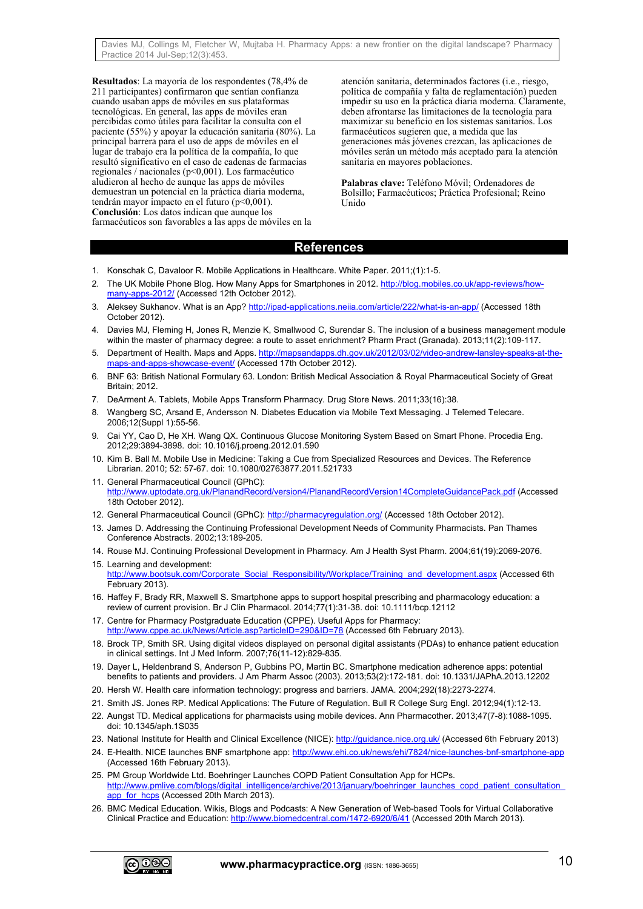Davies MJ, Collings M, Fletcher W, Mujtaba H. Pharmacy Apps: a new frontier on the digital landscape? Pharmacy Practice 2014 Jul-Sep;12(3):453.

**Resultados**: La mayoría de los respondentes (78,4% de 211 participantes) confirmaron que sentían confianza cuando usaban apps de móviles en sus plataformas tecnológicas. En general, las apps de móviles eran percibidas como útiles para facilitar la consulta con el paciente (55%) y apoyar la educación sanitaria (80%). La principal barrera para el uso de apps de móviles en el lugar de trabajo era la política de la compañía, lo que resultó significativo en el caso de cadenas de farmacias regionales / nacionales (p<0,001). Los farmacéutico aludieron al hecho de aunque las apps de móviles demuestran un potencial en la práctica diaria moderna, tendrán mayor impacto en el futuro (p<0,001). **Conclusión**: Los datos indican que aunque los farmacéuticos son favorables a las apps de móviles en la

atención sanitaria, determinados factores (i.e., riesgo, política de compañía y falta de reglamentación) pueden impedir su uso en la práctica diaria moderna. Claramente, deben afrontarse las limitaciones de la tecnología para maximizar su beneficio en los sistemas sanitarios. Los farmacéuticos sugieren que, a medida que las generaciones más jóvenes crezcan, las aplicaciones de móviles serán un método más aceptado para la atención sanitaria en mayores poblaciones.

**Palabras clave:** Teléfono Móvil; Ordenadores de Bolsillo; Farmacéuticos; Práctica Profesional; Reino Unido

# **References**

- 1. Konschak C, Davaloor R. Mobile Applications in Healthcare. White Paper. 2011;(1):1-5.
- 2. The UK Mobile Phone Blog. How Many Apps for Smartphones in 2012. http://blog.mobiles.co.uk/app-reviews/howmany-apps-2012/ (Accessed 12th October 2012).
- 3. Aleksey Sukhanov. What is an App? http://ipad-applications.neiia.com/article/222/what-is-an-app/ (Accessed 18th October 2012).
- 4. Davies MJ, Fleming H, Jones R, Menzie K, Smallwood C, Surendar S. The inclusion of a business management module within the master of pharmacy degree: a route to asset enrichment? Pharm Pract (Granada). 2013;11(2):109-117.
- 5. Department of Health. Maps and Apps. http://mapsandapps.dh.gov.uk/2012/03/02/video-andrew-lansley-speaks-at-the--event/ (Accessed 17th October 2012).
- 6. BNF 63: British National Formulary 63. London: British Medical Association & Royal Pharmaceutical Society of Great Britain; 2012.
- 7. DeArment A. Tablets, Mobile Apps Transform Pharmacy. Drug Store News. 2011;33(16):38.
- 8. Wangberg SC, Arsand E, Andersson N. Diabetes Education via Mobile Text Messaging. J Telemed Telecare. 2006;12(Suppl 1):55-56.
- 9. Cai YY, Cao D, He XH. Wang QX. Continuous Glucose Monitoring System Based on Smart Phone. Procedia Eng. 2012;29:3894-3898. doi: 10.1016/j.proeng.2012.01.590
- 10. Kim B. Ball M. Mobile Use in Medicine: Taking a Cue from Specialized Resources and Devices. The Reference Librarian. 2010; 52: 57-67. doi: 10.1080/02763877.2011.521733
- 11. General Pharmaceutical Council (GPhC): http://www.uptodate.org.uk/PlanandRecord/version4/PlanandRecordVersion14CompleteGuidancePack.pdf (Accessed 18th October 2012).
- 12. General Pharmaceutical Council (GPhC): http://pharmacyregulation.org/ (Accessed 18th October 2012).
- 13. James D. Addressing the Continuing Professional Development Needs of Community Pharmacists. Pan Thames Conference Abstracts. 2002;13:189-205.
- 14. Rouse MJ. Continuing Professional Development in Pharmacy. Am J Health Syst Pharm. 2004;61(19):2069-2076.
- 15. Learning and development: http://www.bootsuk.com/Corporate\_Social\_Responsibility/Workplace/Training\_and\_development.aspx (Accessed 6th February 2013).
- 16. Haffey F, Brady RR, Maxwell S. Smartphone apps to support hospital prescribing and pharmacology education: a review of current provision. Br J Clin Pharmacol. 2014;77(1):31-38. doi: 10.1111/bcp.12112
- 17. Centre for Pharmacy Postgraduate Education (CPPE). Useful Apps for Pharmacy: http://www.cppe.ac.uk/News/Article.asp?articleID=290&ID=78 (Accessed 6th February 2013).
- 18. Brock TP, Smith SR. Using digital videos displayed on personal digital assistants (PDAs) to enhance patient education in clinical settings. Int J Med Inform. 2007;76(11-12):829-835.
- 19. Dayer L, Heldenbrand S, Anderson P, Gubbins PO, Martin BC. Smartphone medication adherence apps: potential benefits to patients and providers. J Am Pharm Assoc (2003). 2013;53(2):172-181. doi: 10.1331/JAPhA.2013.12202
- 20. Hersh W. Health care information technology: progress and barriers. JAMA. 2004;292(18):2273-2274.
- 21. Smith JS. Jones RP. Medical Applications: The Future of Regulation. Bull R College Surg Engl. 2012;94(1):12-13.
- 22. Aungst TD. Medical applications for pharmacists using mobile devices. Ann Pharmacother. 2013;47(7-8):1088-1095. doi: 10.1345/aph.1S035
- 23. National Institute for Health and Clinical Excellence (NICE): http://guidance.nice.org.uk/ (Accessed 6th February 2013)
- 24. E-Health. NICE launches BNF smartphone app: http://www.ehi.co.uk/news/ehi/7824/nice-launches-bnf-smartphone-app (Accessed 16th February 2013).
- 25. PM Group Worldwide Ltd. Boehringer Launches COPD Patient Consultation App for HCPs. http://www.pmlive.com/blogs/digital\_intelligence/archive/2013/january/boehringer\_launches\_copd\_patient\_consultation app\_for\_hcps (Accessed 20th March 2013).
- 26. BMC Medical Education. Wikis, Blogs and Podcasts: A New Generation of Web-based Tools for Virtual Collaborative Clinical Practice and Education: http://www.biomedcentral.com/1472-6920/6/41 (Accessed 20th March 2013).